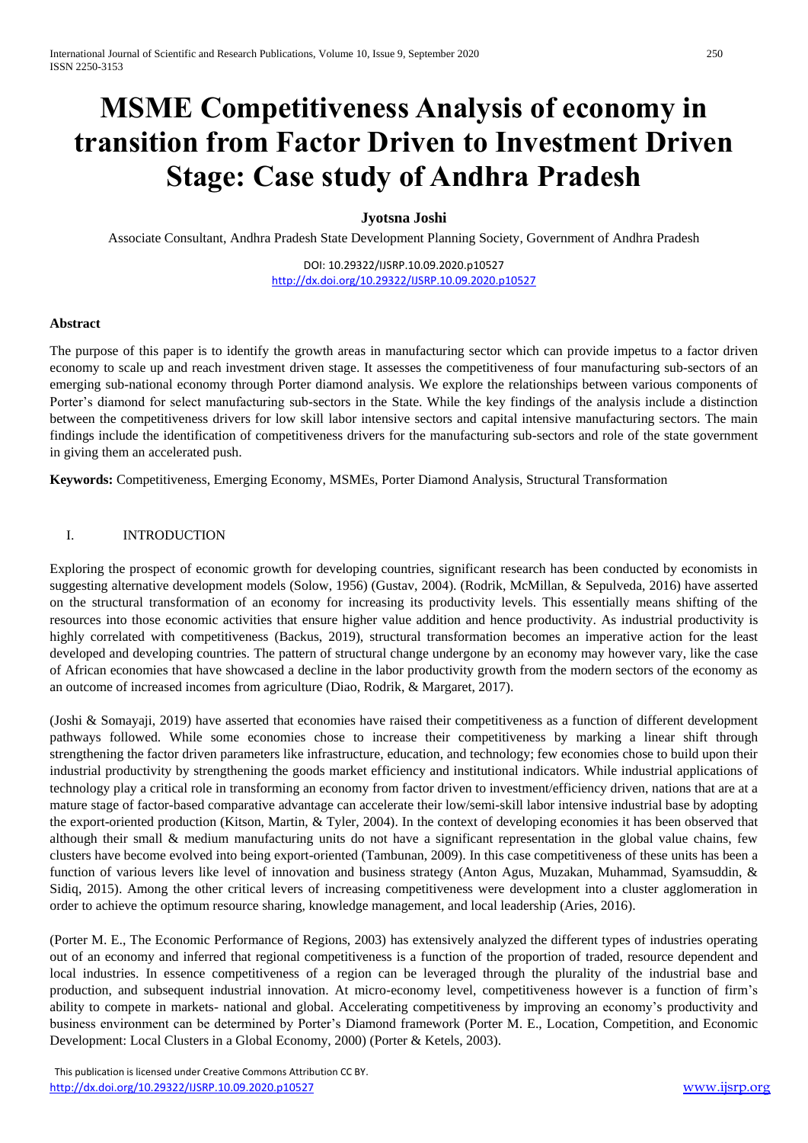# **MSME Competitiveness Analysis of economy in transition from Factor Driven to Investment Driven Stage: Case study of Andhra Pradesh**

# **Jyotsna Joshi**

Associate Consultant, Andhra Pradesh State Development Planning Society, Government of Andhra Pradesh

DOI: 10.29322/IJSRP.10.09.2020.p10527 <http://dx.doi.org/10.29322/IJSRP.10.09.2020.p10527>

#### **Abstract**

The purpose of this paper is to identify the growth areas in manufacturing sector which can provide impetus to a factor driven economy to scale up and reach investment driven stage. It assesses the competitiveness of four manufacturing sub-sectors of an emerging sub-national economy through Porter diamond analysis. We explore the relationships between various components of Porter's diamond for select manufacturing sub-sectors in the State. While the key findings of the analysis include a distinction between the competitiveness drivers for low skill labor intensive sectors and capital intensive manufacturing sectors. The main findings include the identification of competitiveness drivers for the manufacturing sub-sectors and role of the state government in giving them an accelerated push.

**Keywords:** Competitiveness, Emerging Economy, MSMEs, Porter Diamond Analysis, Structural Transformation

#### I. INTRODUCTION

Exploring the prospect of economic growth for developing countries, significant research has been conducted by economists in suggesting alternative development models (Solow, 1956) (Gustav, 2004). (Rodrik, McMillan, & Sepulveda, 2016) have asserted on the structural transformation of an economy for increasing its productivity levels. This essentially means shifting of the resources into those economic activities that ensure higher value addition and hence productivity. As industrial productivity is highly correlated with competitiveness (Backus, 2019), structural transformation becomes an imperative action for the least developed and developing countries. The pattern of structural change undergone by an economy may however vary, like the case of African economies that have showcased a decline in the labor productivity growth from the modern sectors of the economy as an outcome of increased incomes from agriculture (Diao, Rodrik, & Margaret, 2017).

(Joshi & Somayaji, 2019) have asserted that economies have raised their competitiveness as a function of different development pathways followed. While some economies chose to increase their competitiveness by marking a linear shift through strengthening the factor driven parameters like infrastructure, education, and technology; few economies chose to build upon their industrial productivity by strengthening the goods market efficiency and institutional indicators. While industrial applications of technology play a critical role in transforming an economy from factor driven to investment/efficiency driven, nations that are at a mature stage of factor-based comparative advantage can accelerate their low/semi-skill labor intensive industrial base by adopting the export-oriented production (Kitson, Martin, & Tyler, 2004). In the context of developing economies it has been observed that although their small  $\&$  medium manufacturing units do not have a significant representation in the global value chains, few clusters have become evolved into being export-oriented (Tambunan, 2009). In this case competitiveness of these units has been a function of various levers like level of innovation and business strategy (Anton Agus, Muzakan, Muhammad, Syamsuddin, & Sidiq, 2015). Among the other critical levers of increasing competitiveness were development into a cluster agglomeration in order to achieve the optimum resource sharing, knowledge management, and local leadership (Aries, 2016).

(Porter M. E., The Economic Performance of Regions, 2003) has extensively analyzed the different types of industries operating out of an economy and inferred that regional competitiveness is a function of the proportion of traded, resource dependent and local industries. In essence competitiveness of a region can be leveraged through the plurality of the industrial base and production, and subsequent industrial innovation. At micro-economy level, competitiveness however is a function of firm's ability to compete in markets- national and global. Accelerating competitiveness by improving an economy's productivity and business environment can be determined by Porter's Diamond framework (Porter M. E., Location, Competition, and Economic Development: Local Clusters in a Global Economy, 2000) (Porter & Ketels, 2003).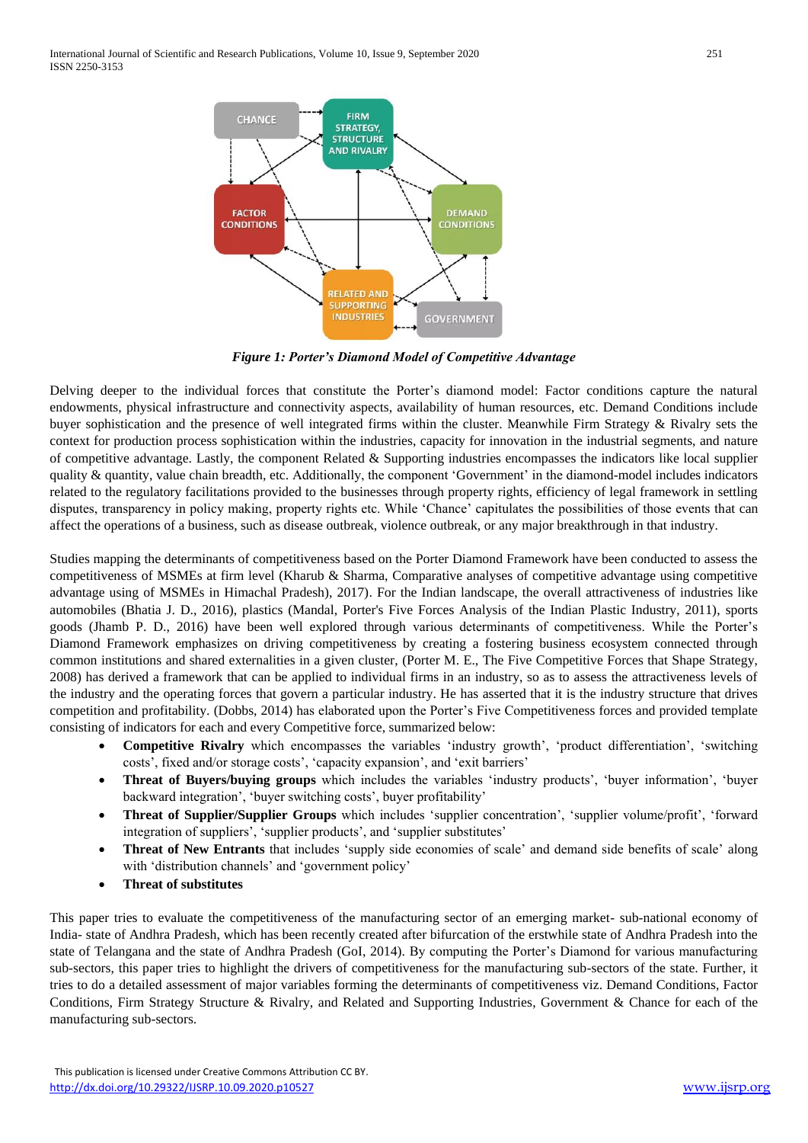

*Figure 1: Porter's Diamond Model of Competitive Advantage*

Delving deeper to the individual forces that constitute the Porter's diamond model: Factor conditions capture the natural endowments, physical infrastructure and connectivity aspects, availability of human resources, etc. Demand Conditions include buyer sophistication and the presence of well integrated firms within the cluster. Meanwhile Firm Strategy & Rivalry sets the context for production process sophistication within the industries, capacity for innovation in the industrial segments, and nature of competitive advantage. Lastly, the component Related  $\&$  Supporting industries encompasses the indicators like local supplier quality & quantity, value chain breadth, etc. Additionally, the component 'Government' in the diamond-model includes indicators related to the regulatory facilitations provided to the businesses through property rights, efficiency of legal framework in settling disputes, transparency in policy making, property rights etc. While 'Chance' capitulates the possibilities of those events that can affect the operations of a business, such as disease outbreak, violence outbreak, or any major breakthrough in that industry.

Studies mapping the determinants of competitiveness based on the Porter Diamond Framework have been conducted to assess the competitiveness of MSMEs at firm level (Kharub & Sharma, Comparative analyses of competitive advantage using competitive advantage using of MSMEs in Himachal Pradesh), 2017). For the Indian landscape, the overall attractiveness of industries like automobiles (Bhatia J. D., 2016), plastics (Mandal, Porter's Five Forces Analysis of the Indian Plastic Industry, 2011), sports goods (Jhamb P. D., 2016) have been well explored through various determinants of competitiveness. While the Porter's Diamond Framework emphasizes on driving competitiveness by creating a fostering business ecosystem connected through common institutions and shared externalities in a given cluster, (Porter M. E., The Five Competitive Forces that Shape Strategy, 2008) has derived a framework that can be applied to individual firms in an industry, so as to assess the attractiveness levels of the industry and the operating forces that govern a particular industry. He has asserted that it is the industry structure that drives competition and profitability. (Dobbs, 2014) has elaborated upon the Porter's Five Competitiveness forces and provided template consisting of indicators for each and every Competitive force, summarized below:

- **Competitive Rivalry** which encompasses the variables 'industry growth', 'product differentiation', 'switching costs', fixed and/or storage costs', 'capacity expansion', and 'exit barriers'
- **Threat of Buyers/buying groups** which includes the variables 'industry products', 'buyer information', 'buyer backward integration', 'buyer switching costs', buyer profitability'
- **Threat of Supplier/Supplier Groups** which includes 'supplier concentration', 'supplier volume/profit', 'forward integration of suppliers', 'supplier products', and 'supplier substitutes'
- **Threat of New Entrants** that includes 'supply side economies of scale' and demand side benefits of scale' along with 'distribution channels' and 'government policy'
- **Threat of substitutes**

This paper tries to evaluate the competitiveness of the manufacturing sector of an emerging market- sub-national economy of India- state of Andhra Pradesh, which has been recently created after bifurcation of the erstwhile state of Andhra Pradesh into the state of Telangana and the state of Andhra Pradesh (GoI, 2014). By computing the Porter's Diamond for various manufacturing sub-sectors, this paper tries to highlight the drivers of competitiveness for the manufacturing sub-sectors of the state. Further, it tries to do a detailed assessment of major variables forming the determinants of competitiveness viz. Demand Conditions, Factor Conditions, Firm Strategy Structure & Rivalry, and Related and Supporting Industries, Government & Chance for each of the manufacturing sub-sectors.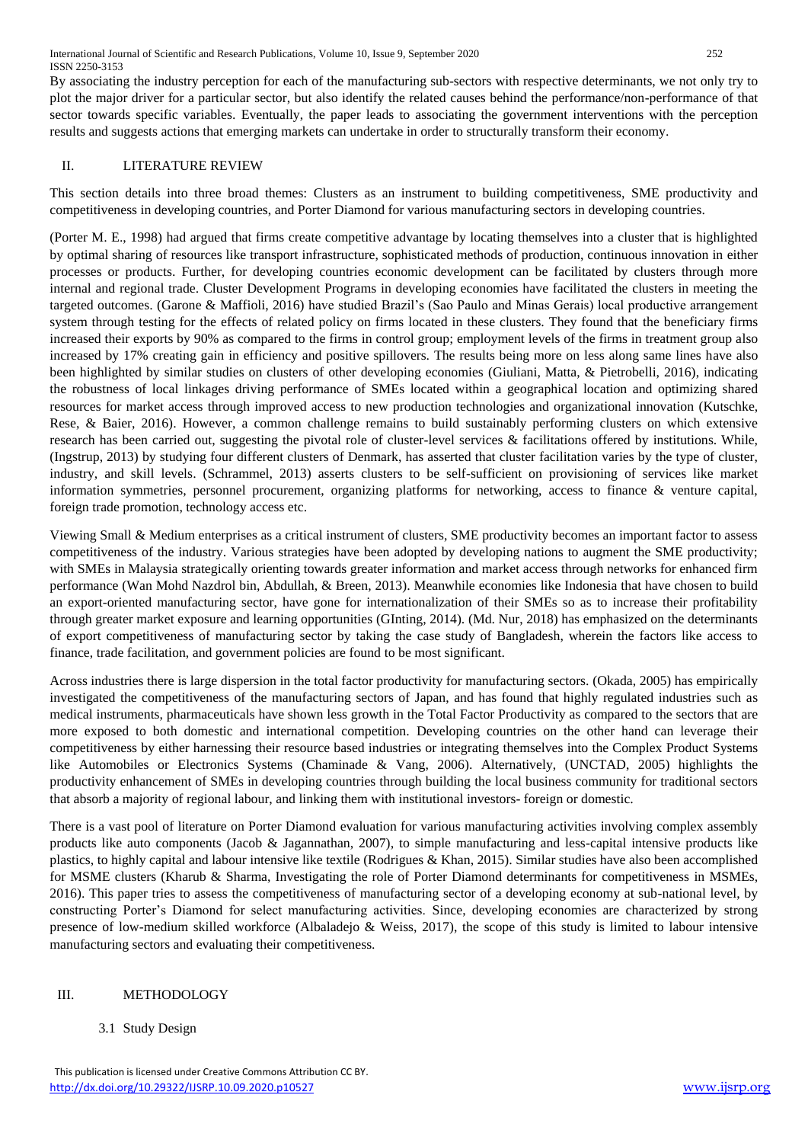International Journal of Scientific and Research Publications, Volume 10, Issue 9, September 2020 252 ISSN 2250-3153

By associating the industry perception for each of the manufacturing sub-sectors with respective determinants, we not only try to plot the major driver for a particular sector, but also identify the related causes behind the performance/non-performance of that sector towards specific variables. Eventually, the paper leads to associating the government interventions with the perception results and suggests actions that emerging markets can undertake in order to structurally transform their economy.

### II. LITERATURE REVIEW

This section details into three broad themes: Clusters as an instrument to building competitiveness, SME productivity and competitiveness in developing countries, and Porter Diamond for various manufacturing sectors in developing countries.

(Porter M. E., 1998) had argued that firms create competitive advantage by locating themselves into a cluster that is highlighted by optimal sharing of resources like transport infrastructure, sophisticated methods of production, continuous innovation in either processes or products. Further, for developing countries economic development can be facilitated by clusters through more internal and regional trade. Cluster Development Programs in developing economies have facilitated the clusters in meeting the targeted outcomes. (Garone & Maffioli, 2016) have studied Brazil's (Sao Paulo and Minas Gerais) local productive arrangement system through testing for the effects of related policy on firms located in these clusters. They found that the beneficiary firms increased their exports by 90% as compared to the firms in control group; employment levels of the firms in treatment group also increased by 17% creating gain in efficiency and positive spillovers. The results being more on less along same lines have also been highlighted by similar studies on clusters of other developing economies (Giuliani, Matta, & Pietrobelli, 2016), indicating the robustness of local linkages driving performance of SMEs located within a geographical location and optimizing shared resources for market access through improved access to new production technologies and organizational innovation (Kutschke, Rese, & Baier, 2016). However, a common challenge remains to build sustainably performing clusters on which extensive research has been carried out, suggesting the pivotal role of cluster-level services & facilitations offered by institutions. While, (Ingstrup, 2013) by studying four different clusters of Denmark, has asserted that cluster facilitation varies by the type of cluster, industry, and skill levels. (Schrammel, 2013) asserts clusters to be self-sufficient on provisioning of services like market information symmetries, personnel procurement, organizing platforms for networking, access to finance & venture capital, foreign trade promotion, technology access etc.

Viewing Small & Medium enterprises as a critical instrument of clusters, SME productivity becomes an important factor to assess competitiveness of the industry. Various strategies have been adopted by developing nations to augment the SME productivity; with SMEs in Malaysia strategically orienting towards greater information and market access through networks for enhanced firm performance (Wan Mohd Nazdrol bin, Abdullah, & Breen, 2013). Meanwhile economies like Indonesia that have chosen to build an export-oriented manufacturing sector, have gone for internationalization of their SMEs so as to increase their profitability through greater market exposure and learning opportunities (GInting, 2014). (Md. Nur, 2018) has emphasized on the determinants of export competitiveness of manufacturing sector by taking the case study of Bangladesh, wherein the factors like access to finance, trade facilitation, and government policies are found to be most significant.

Across industries there is large dispersion in the total factor productivity for manufacturing sectors. (Okada, 2005) has empirically investigated the competitiveness of the manufacturing sectors of Japan, and has found that highly regulated industries such as medical instruments, pharmaceuticals have shown less growth in the Total Factor Productivity as compared to the sectors that are more exposed to both domestic and international competition. Developing countries on the other hand can leverage their competitiveness by either harnessing their resource based industries or integrating themselves into the Complex Product Systems like Automobiles or Electronics Systems (Chaminade & Vang, 2006). Alternatively, (UNCTAD, 2005) highlights the productivity enhancement of SMEs in developing countries through building the local business community for traditional sectors that absorb a majority of regional labour, and linking them with institutional investors- foreign or domestic.

There is a vast pool of literature on Porter Diamond evaluation for various manufacturing activities involving complex assembly products like auto components (Jacob & Jagannathan, 2007), to simple manufacturing and less-capital intensive products like plastics, to highly capital and labour intensive like textile (Rodrigues & Khan, 2015). Similar studies have also been accomplished for MSME clusters (Kharub & Sharma, Investigating the role of Porter Diamond determinants for competitiveness in MSMEs, 2016). This paper tries to assess the competitiveness of manufacturing sector of a developing economy at sub-national level, by constructing Porter's Diamond for select manufacturing activities. Since, developing economies are characterized by strong presence of low-medium skilled workforce (Albaladejo & Weiss, 2017), the scope of this study is limited to labour intensive manufacturing sectors and evaluating their competitiveness.

# III. METHODOLOGY

#### 3.1 Study Design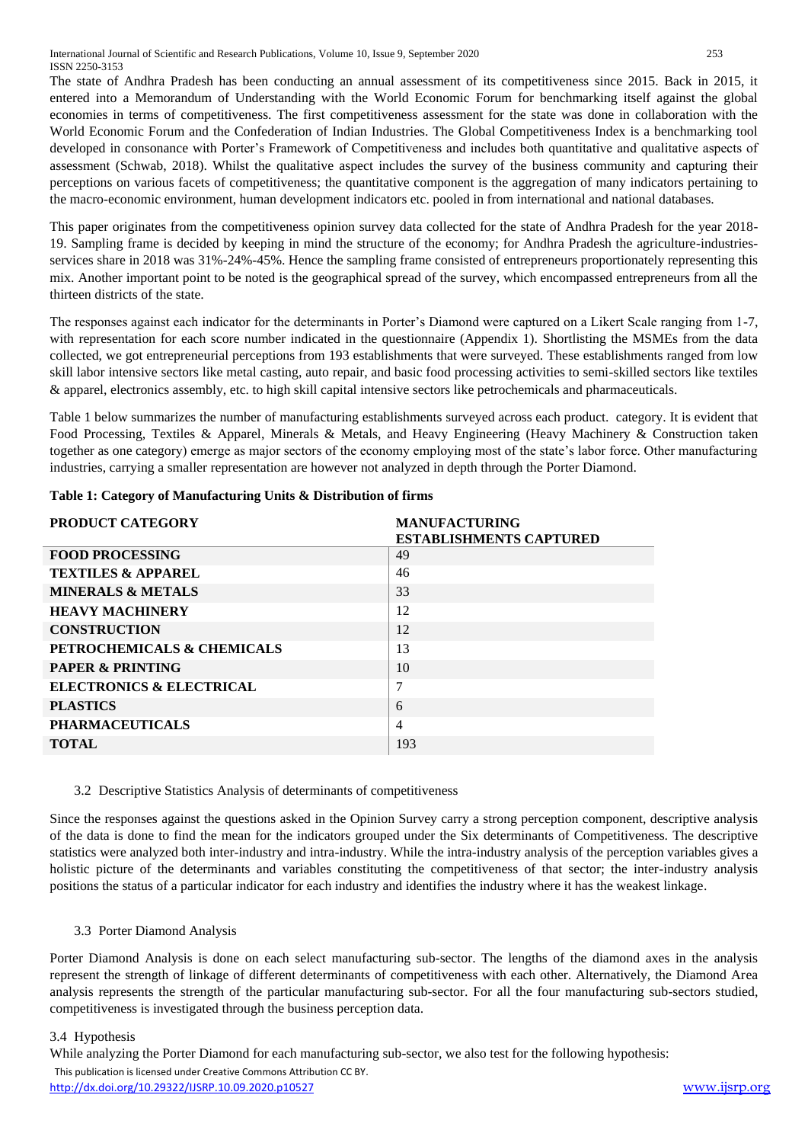The state of Andhra Pradesh has been conducting an annual assessment of its competitiveness since 2015. Back in 2015, it entered into a Memorandum of Understanding with the World Economic Forum for benchmarking itself against the global economies in terms of competitiveness. The first competitiveness assessment for the state was done in collaboration with the World Economic Forum and the Confederation of Indian Industries. The Global Competitiveness Index is a benchmarking tool developed in consonance with Porter's Framework of Competitiveness and includes both quantitative and qualitative aspects of assessment (Schwab, 2018). Whilst the qualitative aspect includes the survey of the business community and capturing their perceptions on various facets of competitiveness; the quantitative component is the aggregation of many indicators pertaining to the macro-economic environment, human development indicators etc. pooled in from international and national databases.

This paper originates from the competitiveness opinion survey data collected for the state of Andhra Pradesh for the year 2018- 19. Sampling frame is decided by keeping in mind the structure of the economy; for Andhra Pradesh the agriculture-industriesservices share in 2018 was 31%-24%-45%. Hence the sampling frame consisted of entrepreneurs proportionately representing this mix. Another important point to be noted is the geographical spread of the survey, which encompassed entrepreneurs from all the thirteen districts of the state.

The responses against each indicator for the determinants in Porter's Diamond were captured on a Likert Scale ranging from 1-7, with representation for each score number indicated in the questionnaire (Appendix 1). Shortlisting the MSMEs from the data collected, we got entrepreneurial perceptions from 193 establishments that were surveyed. These establishments ranged from low skill labor intensive sectors like metal casting, auto repair, and basic food processing activities to semi-skilled sectors like textiles & apparel, electronics assembly, etc. to high skill capital intensive sectors like petrochemicals and pharmaceuticals.

Table 1 below summarizes the number of manufacturing establishments surveyed across each product. category. It is evident that Food Processing, Textiles & Apparel, Minerals & Metals, and Heavy Engineering (Heavy Machinery & Construction taken together as one category) emerge as major sectors of the economy employing most of the state's labor force. Other manufacturing industries, carrying a smaller representation are however not analyzed in depth through the Porter Diamond.

| PRODUCT CATEGORY              | <b>MANUFACTURING</b><br><b>ESTABLISHMENTS CAPTURED</b> |
|-------------------------------|--------------------------------------------------------|
| <b>FOOD PROCESSING</b>        | 49                                                     |
| <b>TEXTILES &amp; APPAREL</b> | 46                                                     |
| <b>MINERALS &amp; METALS</b>  | 33                                                     |
| <b>HEAVY MACHINERY</b>        | 12                                                     |
| <b>CONSTRUCTION</b>           | 12                                                     |
| PETROCHEMICALS & CHEMICALS    | 13                                                     |
| <b>PAPER &amp; PRINTING</b>   | 10                                                     |
| ELECTRONICS & ELECTRICAL      | 7                                                      |
| <b>PLASTICS</b>               | 6                                                      |
| <b>PHARMACEUTICALS</b>        | $\overline{4}$                                         |
| <b>TOTAL</b>                  | 193                                                    |

# **Table 1: Category of Manufacturing Units & Distribution of firms**

# 3.2 Descriptive Statistics Analysis of determinants of competitiveness

Since the responses against the questions asked in the Opinion Survey carry a strong perception component, descriptive analysis of the data is done to find the mean for the indicators grouped under the Six determinants of Competitiveness. The descriptive statistics were analyzed both inter-industry and intra-industry. While the intra-industry analysis of the perception variables gives a holistic picture of the determinants and variables constituting the competitiveness of that sector; the inter-industry analysis positions the status of a particular indicator for each industry and identifies the industry where it has the weakest linkage.

# 3.3 Porter Diamond Analysis

Porter Diamond Analysis is done on each select manufacturing sub-sector. The lengths of the diamond axes in the analysis represent the strength of linkage of different determinants of competitiveness with each other. Alternatively, the Diamond Area analysis represents the strength of the particular manufacturing sub-sector. For all the four manufacturing sub-sectors studied, competitiveness is investigated through the business perception data.

# 3.4 Hypothesis

 This publication is licensed under Creative Commons Attribution CC BY. <http://dx.doi.org/10.29322/IJSRP.10.09.2020.p10527> [www.ijsrp.org](http://ijsrp.org/) While analyzing the Porter Diamond for each manufacturing sub-sector, we also test for the following hypothesis: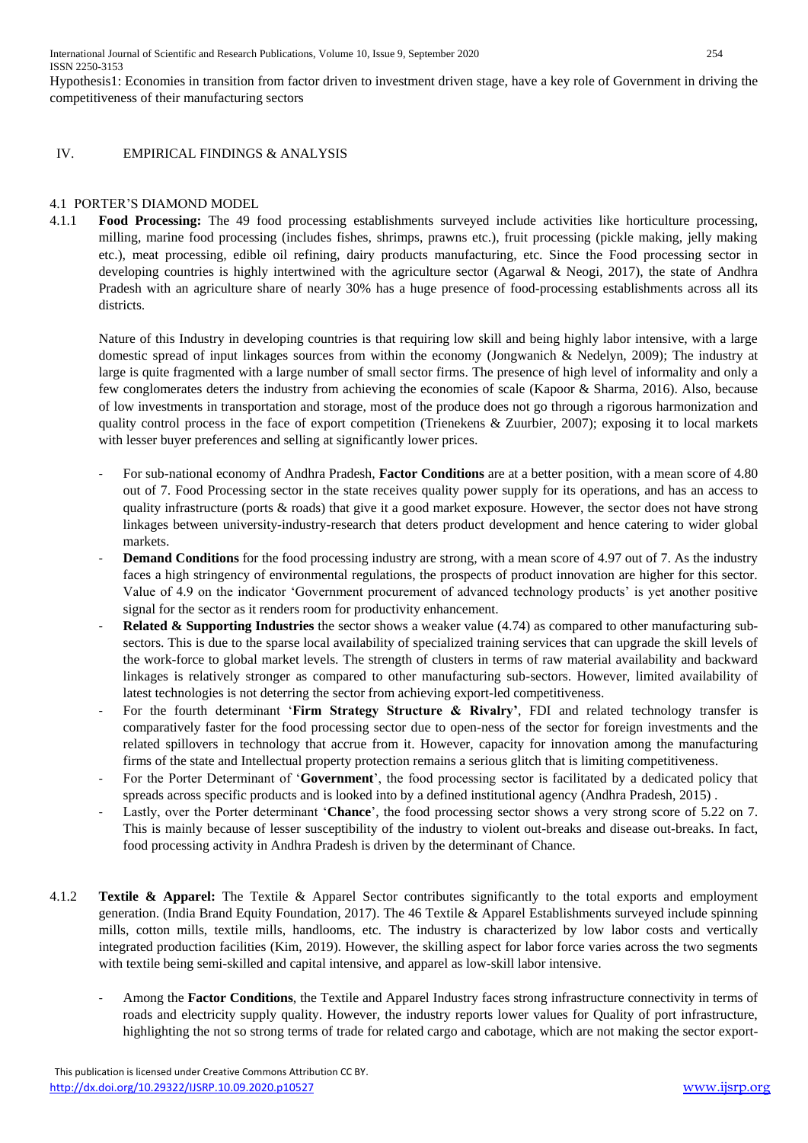Hypothesis1: Economies in transition from factor driven to investment driven stage, have a key role of Government in driving the competitiveness of their manufacturing sectors

#### IV. EMPIRICAL FINDINGS & ANALYSIS

## 4.1 PORTER'S DIAMOND MODEL

4.1.1 **Food Processing:** The 49 food processing establishments surveyed include activities like horticulture processing, milling, marine food processing (includes fishes, shrimps, prawns etc.), fruit processing (pickle making, jelly making etc.), meat processing, edible oil refining, dairy products manufacturing, etc. Since the Food processing sector in developing countries is highly intertwined with the agriculture sector (Agarwal & Neogi, 2017), the state of Andhra Pradesh with an agriculture share of nearly 30% has a huge presence of food-processing establishments across all its districts.

Nature of this Industry in developing countries is that requiring low skill and being highly labor intensive, with a large domestic spread of input linkages sources from within the economy (Jongwanich & Nedelyn, 2009); The industry at large is quite fragmented with a large number of small sector firms. The presence of high level of informality and only a few conglomerates deters the industry from achieving the economies of scale (Kapoor & Sharma, 2016). Also, because of low investments in transportation and storage, most of the produce does not go through a rigorous harmonization and quality control process in the face of export competition (Trienekens & Zuurbier, 2007); exposing it to local markets with lesser buyer preferences and selling at significantly lower prices.

- For sub-national economy of Andhra Pradesh, **Factor Conditions** are at a better position, with a mean score of 4.80 out of 7. Food Processing sector in the state receives quality power supply for its operations, and has an access to quality infrastructure (ports & roads) that give it a good market exposure. However, the sector does not have strong linkages between university-industry-research that deters product development and hence catering to wider global markets.
- **Demand Conditions** for the food processing industry are strong, with a mean score of 4.97 out of 7. As the industry faces a high stringency of environmental regulations, the prospects of product innovation are higher for this sector. Value of 4.9 on the indicator 'Government procurement of advanced technology products' is yet another positive signal for the sector as it renders room for productivity enhancement.
- Related & Supporting Industries the sector shows a weaker value (4.74) as compared to other manufacturing subsectors. This is due to the sparse local availability of specialized training services that can upgrade the skill levels of the work-force to global market levels. The strength of clusters in terms of raw material availability and backward linkages is relatively stronger as compared to other manufacturing sub-sectors. However, limited availability of latest technologies is not deterring the sector from achieving export-led competitiveness.
- For the fourth determinant '**Firm Strategy Structure & Rivalry'**, FDI and related technology transfer is comparatively faster for the food processing sector due to open-ness of the sector for foreign investments and the related spillovers in technology that accrue from it. However, capacity for innovation among the manufacturing firms of the state and Intellectual property protection remains a serious glitch that is limiting competitiveness.
- For the Porter Determinant of '**Government**', the food processing sector is facilitated by a dedicated policy that spreads across specific products and is looked into by a defined institutional agency (Andhra Pradesh, 2015) .
- Lastly, over the Porter determinant '**Chance**', the food processing sector shows a very strong score of 5.22 on 7. This is mainly because of lesser susceptibility of the industry to violent out-breaks and disease out-breaks. In fact, food processing activity in Andhra Pradesh is driven by the determinant of Chance.
- 4.1.2 **Textile & Apparel:** The Textile & Apparel Sector contributes significantly to the total exports and employment generation. (India Brand Equity Foundation, 2017). The 46 Textile & Apparel Establishments surveyed include spinning mills, cotton mills, textile mills, handlooms, etc. The industry is characterized by low labor costs and vertically integrated production facilities (Kim, 2019). However, the skilling aspect for labor force varies across the two segments with textile being semi-skilled and capital intensive, and apparel as low-skill labor intensive.
	- Among the **Factor Conditions**, the Textile and Apparel Industry faces strong infrastructure connectivity in terms of roads and electricity supply quality. However, the industry reports lower values for Quality of port infrastructure, highlighting the not so strong terms of trade for related cargo and cabotage, which are not making the sector export-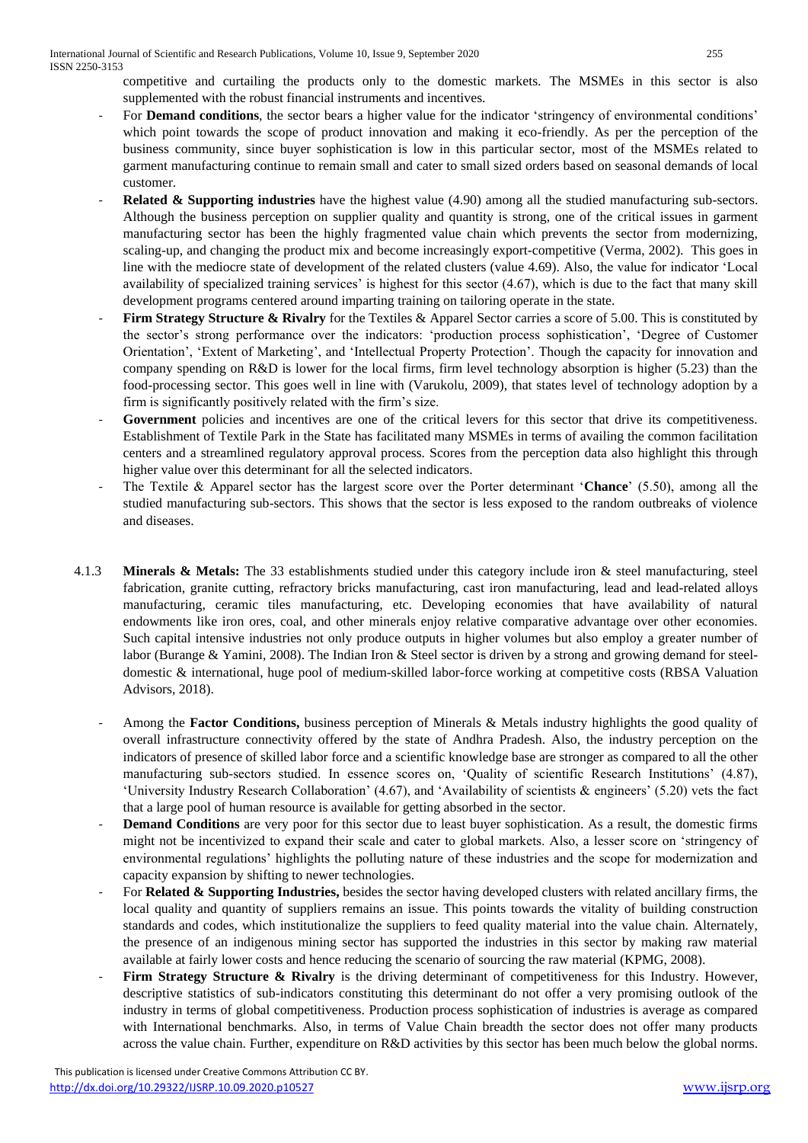competitive and curtailing the products only to the domestic markets. The MSMEs in this sector is also supplemented with the robust financial instruments and incentives.

- For **Demand conditions**, the sector bears a higher value for the indicator 'stringency of environmental conditions' which point towards the scope of product innovation and making it eco-friendly. As per the perception of the business community, since buyer sophistication is low in this particular sector, most of the MSMEs related to garment manufacturing continue to remain small and cater to small sized orders based on seasonal demands of local customer.
- **Related & Supporting industries** have the highest value (4.90) among all the studied manufacturing sub-sectors. Although the business perception on supplier quality and quantity is strong, one of the critical issues in garment manufacturing sector has been the highly fragmented value chain which prevents the sector from modernizing, scaling-up, and changing the product mix and become increasingly export-competitive (Verma, 2002). This goes in line with the mediocre state of development of the related clusters (value 4.69). Also, the value for indicator 'Local availability of specialized training services' is highest for this sector (4.67), which is due to the fact that many skill development programs centered around imparting training on tailoring operate in the state.
- **Firm Strategy Structure & Rivalry** for the Textiles & Apparel Sector carries a score of 5.00. This is constituted by the sector's strong performance over the indicators: 'production process sophistication', 'Degree of Customer Orientation', 'Extent of Marketing', and 'Intellectual Property Protection'. Though the capacity for innovation and company spending on R&D is lower for the local firms, firm level technology absorption is higher (5.23) than the food-processing sector. This goes well in line with (Varukolu, 2009), that states level of technology adoption by a firm is significantly positively related with the firm's size.
- Government policies and incentives are one of the critical levers for this sector that drive its competitiveness. Establishment of Textile Park in the State has facilitated many MSMEs in terms of availing the common facilitation centers and a streamlined regulatory approval process. Scores from the perception data also highlight this through higher value over this determinant for all the selected indicators.
- The Textile & Apparel sector has the largest score over the Porter determinant '**Chance**' (5.50), among all the studied manufacturing sub-sectors. This shows that the sector is less exposed to the random outbreaks of violence and diseases.
- 4.1.3 **Minerals & Metals:** The 33 establishments studied under this category include iron & steel manufacturing, steel fabrication, granite cutting, refractory bricks manufacturing, cast iron manufacturing, lead and lead-related alloys manufacturing, ceramic tiles manufacturing, etc. Developing economies that have availability of natural endowments like iron ores, coal, and other minerals enjoy relative comparative advantage over other economies. Such capital intensive industries not only produce outputs in higher volumes but also employ a greater number of labor (Burange & Yamini, 2008). The Indian Iron & Steel sector is driven by a strong and growing demand for steeldomestic & international, huge pool of medium-skilled labor-force working at competitive costs (RBSA Valuation Advisors, 2018).
	- Among the **Factor Conditions,** business perception of Minerals & Metals industry highlights the good quality of overall infrastructure connectivity offered by the state of Andhra Pradesh. Also, the industry perception on the indicators of presence of skilled labor force and a scientific knowledge base are stronger as compared to all the other manufacturing sub-sectors studied. In essence scores on, 'Quality of scientific Research Institutions' (4.87), 'University Industry Research Collaboration' (4.67), and 'Availability of scientists & engineers' (5.20) vets the fact that a large pool of human resource is available for getting absorbed in the sector.
	- **Demand Conditions** are very poor for this sector due to least buyer sophistication. As a result, the domestic firms might not be incentivized to expand their scale and cater to global markets. Also, a lesser score on 'stringency of environmental regulations' highlights the polluting nature of these industries and the scope for modernization and capacity expansion by shifting to newer technologies.
	- For **Related & Supporting Industries,** besides the sector having developed clusters with related ancillary firms, the local quality and quantity of suppliers remains an issue. This points towards the vitality of building construction standards and codes, which institutionalize the suppliers to feed quality material into the value chain. Alternately, the presence of an indigenous mining sector has supported the industries in this sector by making raw material available at fairly lower costs and hence reducing the scenario of sourcing the raw material (KPMG, 2008).
	- Firm Strategy Structure & Rivalry is the driving determinant of competitiveness for this Industry. However, descriptive statistics of sub-indicators constituting this determinant do not offer a very promising outlook of the industry in terms of global competitiveness. Production process sophistication of industries is average as compared with International benchmarks. Also, in terms of Value Chain breadth the sector does not offer many products across the value chain. Further, expenditure on R&D activities by this sector has been much below the global norms.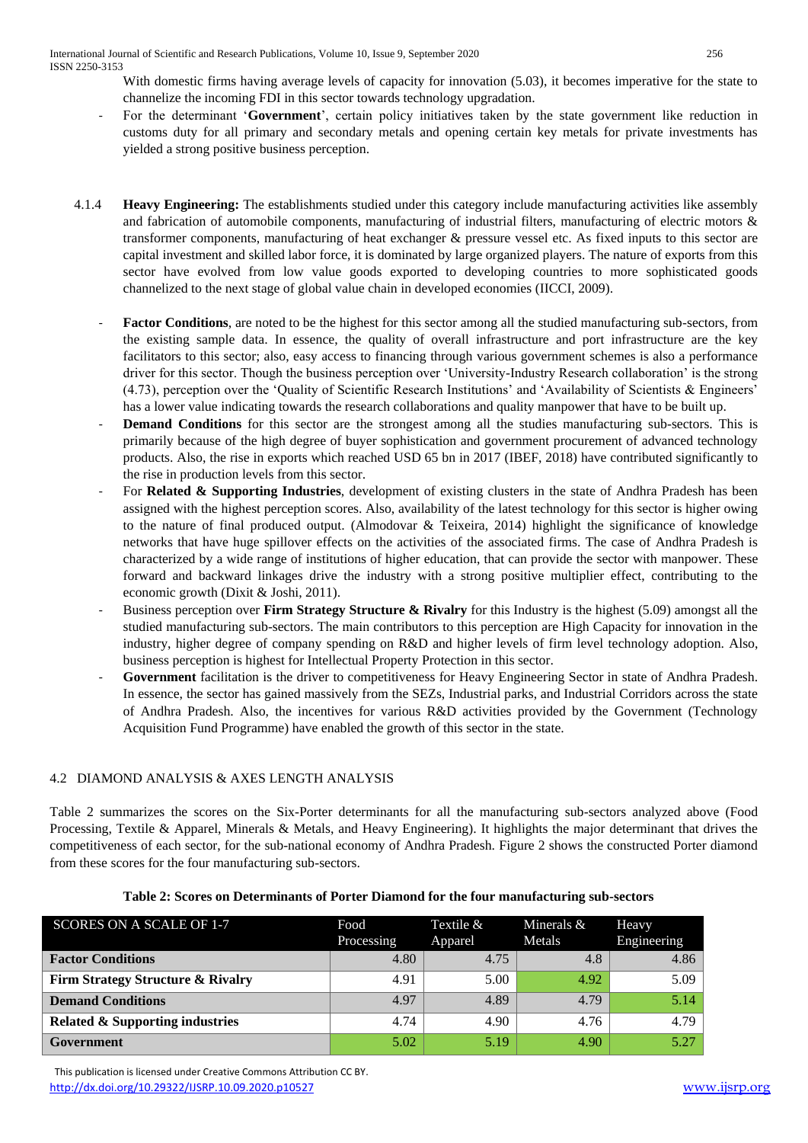International Journal of Scientific and Research Publications, Volume 10, Issue 9, September 2020 256 ISSN 2250-3153

With domestic firms having average levels of capacity for innovation (5.03), it becomes imperative for the state to channelize the incoming FDI in this sector towards technology upgradation.

- For the determinant '**Government**', certain policy initiatives taken by the state government like reduction in customs duty for all primary and secondary metals and opening certain key metals for private investments has yielded a strong positive business perception.
- 4.1.4 **Heavy Engineering:** The establishments studied under this category include manufacturing activities like assembly and fabrication of automobile components, manufacturing of industrial filters, manufacturing of electric motors & transformer components, manufacturing of heat exchanger & pressure vessel etc. As fixed inputs to this sector are capital investment and skilled labor force, it is dominated by large organized players. The nature of exports from this sector have evolved from low value goods exported to developing countries to more sophisticated goods channelized to the next stage of global value chain in developed economies (IICCI, 2009).
	- **Factor Conditions**, are noted to be the highest for this sector among all the studied manufacturing sub-sectors, from the existing sample data. In essence, the quality of overall infrastructure and port infrastructure are the key facilitators to this sector; also, easy access to financing through various government schemes is also a performance driver for this sector. Though the business perception over 'University-Industry Research collaboration' is the strong (4.73), perception over the 'Quality of Scientific Research Institutions' and 'Availability of Scientists & Engineers' has a lower value indicating towards the research collaborations and quality manpower that have to be built up.
	- **Demand Conditions** for this sector are the strongest among all the studies manufacturing sub-sectors. This is primarily because of the high degree of buyer sophistication and government procurement of advanced technology products. Also, the rise in exports which reached USD 65 bn in 2017 (IBEF, 2018) have contributed significantly to the rise in production levels from this sector.
	- For **Related & Supporting Industries**, development of existing clusters in the state of Andhra Pradesh has been assigned with the highest perception scores. Also, availability of the latest technology for this sector is higher owing to the nature of final produced output. (Almodovar & Teixeira, 2014) highlight the significance of knowledge networks that have huge spillover effects on the activities of the associated firms. The case of Andhra Pradesh is characterized by a wide range of institutions of higher education, that can provide the sector with manpower. These forward and backward linkages drive the industry with a strong positive multiplier effect, contributing to the economic growth (Dixit & Joshi, 2011).
	- Business perception over **Firm Strategy Structure & Rivalry** for this Industry is the highest (5.09) amongst all the studied manufacturing sub-sectors. The main contributors to this perception are High Capacity for innovation in the industry, higher degree of company spending on R&D and higher levels of firm level technology adoption. Also, business perception is highest for Intellectual Property Protection in this sector.
	- **Government** facilitation is the driver to competitiveness for Heavy Engineering Sector in state of Andhra Pradesh. In essence, the sector has gained massively from the SEZs, Industrial parks, and Industrial Corridors across the state of Andhra Pradesh. Also, the incentives for various R&D activities provided by the Government (Technology Acquisition Fund Programme) have enabled the growth of this sector in the state.

# 4.2 DIAMOND ANALYSIS & AXES LENGTH ANALYSIS

Table 2 summarizes the scores on the Six-Porter determinants for all the manufacturing sub-sectors analyzed above (Food Processing, Textile & Apparel, Minerals & Metals, and Heavy Engineering). It highlights the major determinant that drives the competitiveness of each sector, for the sub-national economy of Andhra Pradesh. Figure 2 shows the constructed Porter diamond from these scores for the four manufacturing sub-sectors.

| SCORES ON A SCALE OF 1-7                   | Food<br>Processing | Textile $\&$<br>Apparel | Minerals $&$<br>Metals | Heavy<br>Engineering |
|--------------------------------------------|--------------------|-------------------------|------------------------|----------------------|
| <b>Factor Conditions</b>                   | 4.80               | 4.75                    | 4.8                    | 4.86                 |
| Firm Strategy Structure & Rivalry          | 4.91               | 5.00                    | 4.92                   | 5.09                 |
| <b>Demand Conditions</b>                   | 4.97               | 4.89                    | 4.79                   | 5.14                 |
| <b>Related &amp; Supporting industries</b> | 4.74               | 4.90                    | 4.76                   | 4.79                 |
| Government                                 | 5.02               | 5.19                    | 4.90                   | 5.27                 |

#### **Table 2: Scores on Determinants of Porter Diamond for the four manufacturing sub-sectors**

 This publication is licensed under Creative Commons Attribution CC BY. <http://dx.doi.org/10.29322/IJSRP.10.09.2020.p10527> [www.ijsrp.org](http://ijsrp.org/)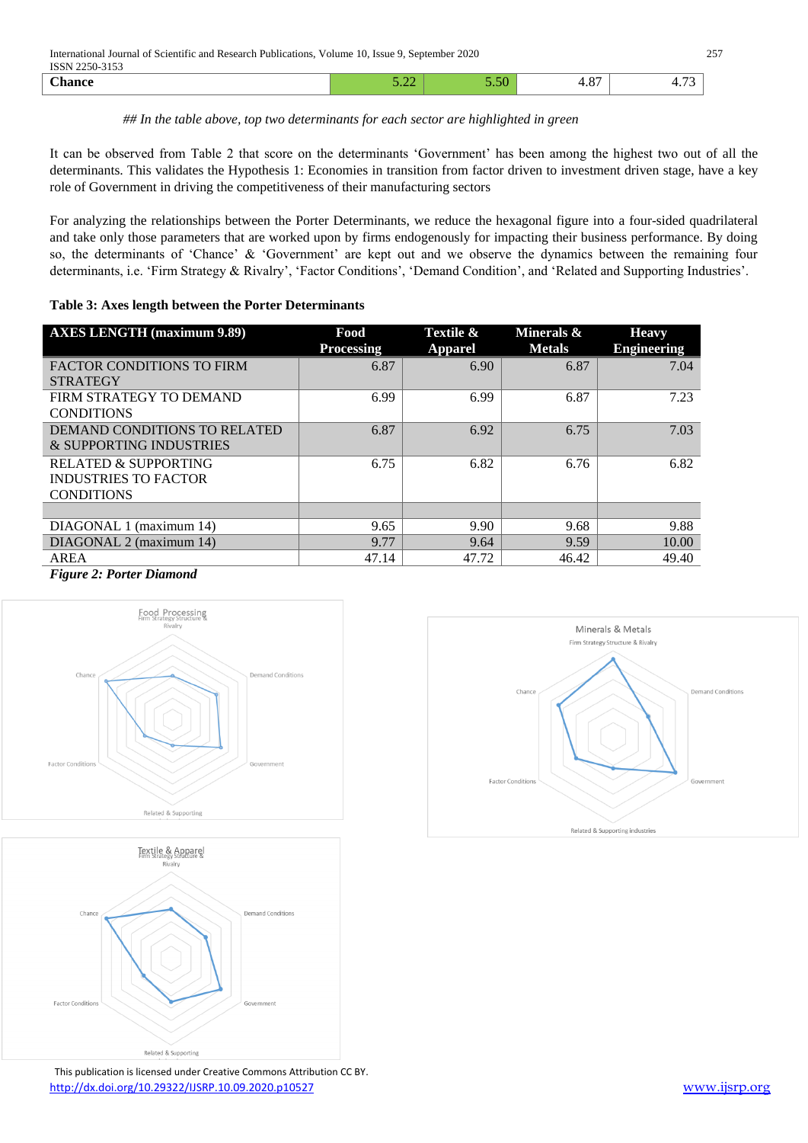### *## In the table above, top two determinants for each sector are highlighted in green*

It can be observed from Table 2 that score on the determinants 'Government' has been among the highest two out of all the determinants. This validates the Hypothesis 1: Economies in transition from factor driven to investment driven stage, have a key role of Government in driving the competitiveness of their manufacturing sectors

For analyzing the relationships between the Porter Determinants, we reduce the hexagonal figure into a four-sided quadrilateral and take only those parameters that are worked upon by firms endogenously for impacting their business performance. By doing so, the determinants of 'Chance' & 'Government' are kept out and we observe the dynamics between the remaining four determinants, i.e. 'Firm Strategy & Rivalry', 'Factor Conditions', 'Demand Condition', and 'Related and Supporting Industries'.

#### **Table 3: Axes length between the Porter Determinants**

| <b>AXES LENGTH (maximum 9.89)</b> | Food<br><b>Processing</b> | Textile &<br><b>Apparel</b> | Minerals &<br><b>Metals</b> | <b>Heavy</b><br><b>Engineering</b> |
|-----------------------------------|---------------------------|-----------------------------|-----------------------------|------------------------------------|
| <b>FACTOR CONDITIONS TO FIRM</b>  | 6.87                      | 6.90                        | 6.87                        | 7.04                               |
| <b>STRATEGY</b>                   |                           |                             |                             |                                    |
| FIRM STRATEGY TO DEMAND           | 6.99                      | 6.99                        | 6.87                        | 7.23                               |
| <b>CONDITIONS</b>                 |                           |                             |                             |                                    |
| DEMAND CONDITIONS TO RELATED      | 6.87                      | 6.92                        | 6.75                        | 7.03                               |
| & SUPPORTING INDUSTRIES           |                           |                             |                             |                                    |
| RELATED & SUPPORTING              | 6.75                      | 6.82                        | 6.76                        | 6.82                               |
| <b>INDUSTRIES TO FACTOR</b>       |                           |                             |                             |                                    |
| <b>CONDITIONS</b>                 |                           |                             |                             |                                    |
|                                   |                           |                             |                             |                                    |
| DIAGONAL 1 (maximum 14)           | 9.65                      | 9.90                        | 9.68                        | 9.88                               |
| DIAGONAL 2 (maximum 14)           | 9.77                      | 9.64                        | 9.59                        | 10.00                              |
| AREA                              | 47.14                     | 47.72                       | 46.42                       | 49.40                              |

*Figure 2: Porter Diamond* 





 This publication is licensed under Creative Commons Attribution CC BY. <http://dx.doi.org/10.29322/IJSRP.10.09.2020.p10527> [www.ijsrp.org](http://ijsrp.org/)

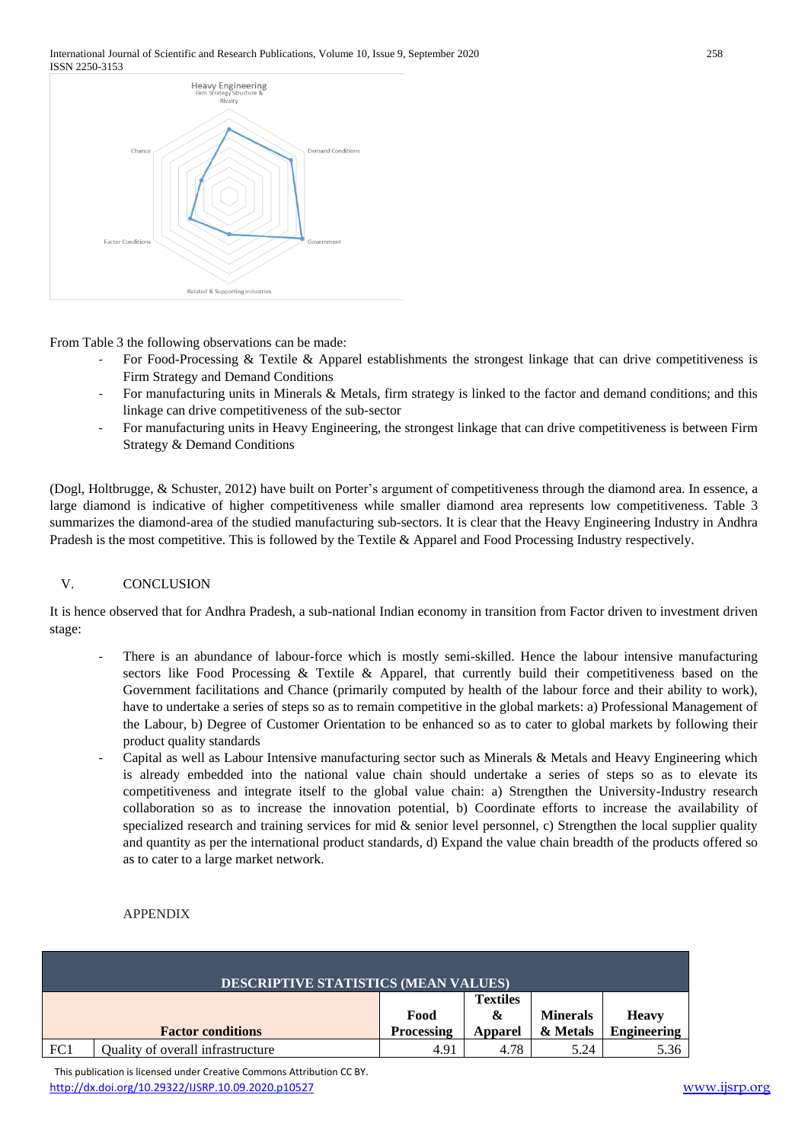#### International Journal of Scientific and Research Publications, Volume 10, Issue 9, September 2020 258 ISSN 2250-3153



From Table 3 the following observations can be made:

- For Food-Processing & Textile & Apparel establishments the strongest linkage that can drive competitiveness is Firm Strategy and Demand Conditions
- For manufacturing units in Minerals & Metals, firm strategy is linked to the factor and demand conditions; and this linkage can drive competitiveness of the sub-sector
- For manufacturing units in Heavy Engineering, the strongest linkage that can drive competitiveness is between Firm Strategy & Demand Conditions

(Dogl, Holtbrugge, & Schuster, 2012) have built on Porter's argument of competitiveness through the diamond area. In essence, a large diamond is indicative of higher competitiveness while smaller diamond area represents low competitiveness. Table 3 summarizes the diamond-area of the studied manufacturing sub-sectors. It is clear that the Heavy Engineering Industry in Andhra Pradesh is the most competitive. This is followed by the Textile & Apparel and Food Processing Industry respectively.

# V. CONCLUSION

It is hence observed that for Andhra Pradesh, a sub-national Indian economy in transition from Factor driven to investment driven stage:

- There is an abundance of labour-force which is mostly semi-skilled. Hence the labour intensive manufacturing sectors like Food Processing & Textile & Apparel, that currently build their competitiveness based on the Government facilitations and Chance (primarily computed by health of the labour force and their ability to work), have to undertake a series of steps so as to remain competitive in the global markets: a) Professional Management of the Labour, b) Degree of Customer Orientation to be enhanced so as to cater to global markets by following their product quality standards
- Capital as well as Labour Intensive manufacturing sector such as Minerals & Metals and Heavy Engineering which is already embedded into the national value chain should undertake a series of steps so as to elevate its competitiveness and integrate itself to the global value chain: a) Strengthen the University-Industry research collaboration so as to increase the innovation potential, b) Coordinate efforts to increase the availability of specialized research and training services for mid  $\&$  senior level personnel, c) Strengthen the local supplier quality and quantity as per the international product standards, d) Expand the value chain breadth of the products offered so as to cater to a large market network.

#### APPENDIX

| <b>DESCRIPTIVE STATISTICS (MEAN VALUES)</b> |                                   |                   |                      |                 |                    |
|---------------------------------------------|-----------------------------------|-------------------|----------------------|-----------------|--------------------|
|                                             |                                   | Food              | <b>Textiles</b><br>& | <b>Minerals</b> | <b>Heavy</b>       |
|                                             | <b>Factor conditions</b>          | <b>Processing</b> | <b>Apparel</b>       | & Metals        | <b>Engineering</b> |
| FC1                                         | Quality of overall infrastructure | 4.91              | 4.78                 | 5.24            | 5.36               |

 This publication is licensed under Creative Commons Attribution CC BY. <http://dx.doi.org/10.29322/IJSRP.10.09.2020.p10527> [www.ijsrp.org](http://ijsrp.org/)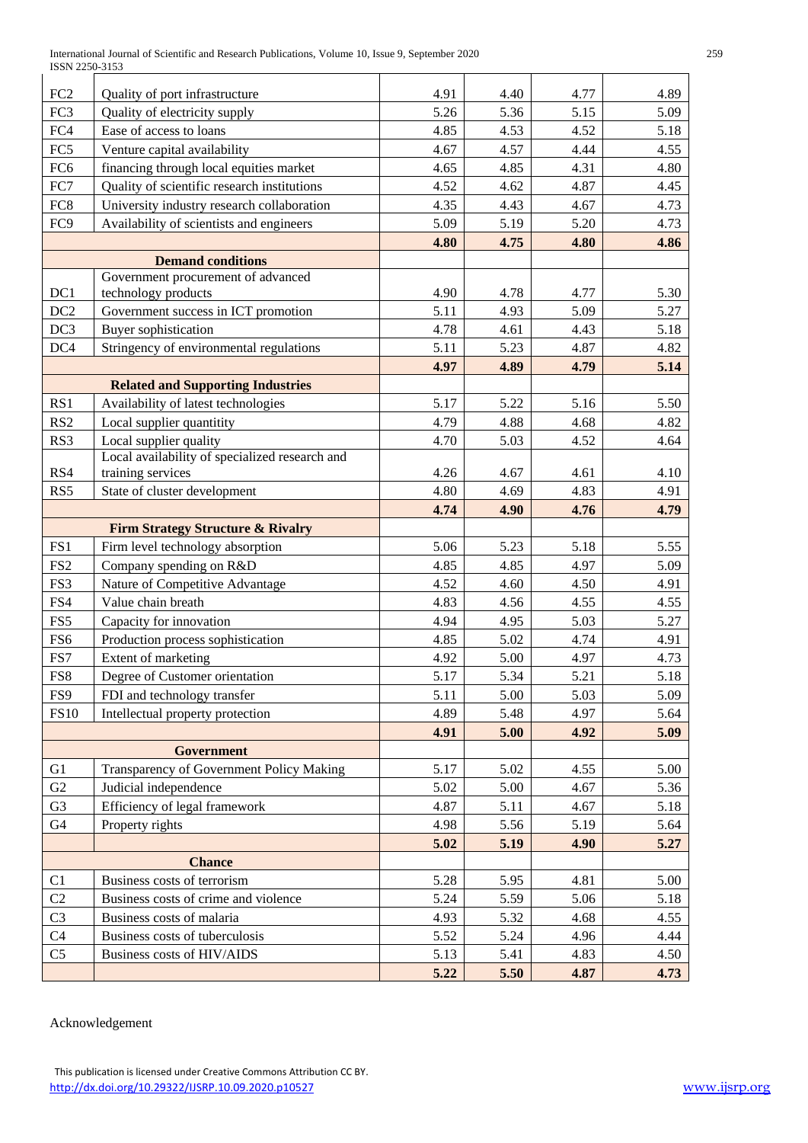| FC <sub>2</sub> | Quality of port infrastructure                                                   | 4.91 | 4.40 | 4.77 | 4.89 |
|-----------------|----------------------------------------------------------------------------------|------|------|------|------|
| FC3             | Quality of electricity supply                                                    | 5.26 | 5.36 | 5.15 | 5.09 |
| FC4             | Ease of access to loans                                                          | 4.85 | 4.53 | 4.52 | 5.18 |
| FC5             | Venture capital availability                                                     | 4.67 | 4.57 | 4.44 | 4.55 |
| FC <sub>6</sub> | financing through local equities market                                          | 4.65 | 4.85 | 4.31 | 4.80 |
| FC7             | Quality of scientific research institutions                                      | 4.52 | 4.62 | 4.87 | 4.45 |
| FC8             | University industry research collaboration                                       | 4.35 | 4.43 | 4.67 | 4.73 |
| FC9             | Availability of scientists and engineers                                         | 5.09 | 5.19 | 5.20 | 4.73 |
|                 |                                                                                  | 4.80 | 4.75 | 4.80 | 4.86 |
|                 | <b>Demand conditions</b>                                                         |      |      |      |      |
|                 | Government procurement of advanced                                               |      |      |      |      |
| DC1             | technology products                                                              | 4.90 | 4.78 | 4.77 | 5.30 |
| DC <sub>2</sub> | Government success in ICT promotion                                              | 5.11 | 4.93 | 5.09 | 5.27 |
| DC <sub>3</sub> | <b>Buyer</b> sophistication                                                      | 4.78 | 4.61 | 4.43 | 5.18 |
| DC4             | Stringency of environmental regulations                                          | 5.11 | 5.23 | 4.87 | 4.82 |
|                 |                                                                                  | 4.97 | 4.89 | 4.79 | 5.14 |
|                 | <b>Related and Supporting Industries</b>                                         |      |      |      |      |
| RS1             | Availability of latest technologies                                              | 5.17 | 5.22 | 5.16 | 5.50 |
| RS <sub>2</sub> | Local supplier quantitity                                                        | 4.79 | 4.88 | 4.68 | 4.82 |
| RS3             | Local supplier quality                                                           | 4.70 | 5.03 | 4.52 | 4.64 |
|                 | Local availability of specialized research and                                   |      |      |      |      |
| RS4             | training services                                                                | 4.26 | 4.67 | 4.61 | 4.10 |
| RS5             | State of cluster development                                                     | 4.80 | 4.69 | 4.83 | 4.91 |
|                 |                                                                                  | 4.74 | 4.90 | 4.76 | 4.79 |
| FS1             | <b>Firm Strategy Structure &amp; Rivalry</b><br>Firm level technology absorption | 5.06 | 5.23 | 5.18 | 5.55 |
| FS <sub>2</sub> | Company spending on R&D                                                          | 4.85 | 4.85 | 4.97 | 5.09 |
| FS3             | Nature of Competitive Advantage                                                  | 4.52 | 4.60 | 4.50 | 4.91 |
| FS4             | Value chain breath                                                               | 4.83 | 4.56 | 4.55 | 4.55 |
| FS5             | Capacity for innovation                                                          | 4.94 | 4.95 | 5.03 | 5.27 |
| FS6             | Production process sophistication                                                | 4.85 | 5.02 | 4.74 | 4.91 |
| FS7             | Extent of marketing                                                              | 4.92 | 5.00 | 4.97 | 4.73 |
| FS8             | Degree of Customer orientation                                                   | 5.17 | 5.34 | 5.21 | 5.18 |
| FS9             | FDI and technology transfer                                                      | 5.11 | 5.00 | 5.03 | 5.09 |
| <b>FS10</b>     | Intellectual property protection                                                 | 4.89 | 5.48 | 4.97 | 5.64 |
|                 |                                                                                  | 4.91 | 5.00 | 4.92 | 5.09 |
|                 | Government                                                                       |      |      |      |      |
| G <sub>1</sub>  | Transparency of Government Policy Making                                         | 5.17 | 5.02 | 4.55 | 5.00 |
| G2              | Judicial independence                                                            | 5.02 | 5.00 | 4.67 | 5.36 |
| G <sub>3</sub>  | Efficiency of legal framework                                                    | 4.87 | 5.11 | 4.67 | 5.18 |
| G4              | Property rights                                                                  | 4.98 | 5.56 | 5.19 | 5.64 |
|                 |                                                                                  | 5.02 | 5.19 | 4.90 | 5.27 |
| <b>Chance</b>   |                                                                                  |      |      |      |      |
| C1              | Business costs of terrorism                                                      | 5.28 | 5.95 | 4.81 | 5.00 |
| C2              | Business costs of crime and violence                                             | 5.24 | 5.59 | 5.06 | 5.18 |
| C <sub>3</sub>  | Business costs of malaria                                                        | 4.93 | 5.32 | 4.68 | 4.55 |
| C <sub>4</sub>  | Business costs of tuberculosis                                                   | 5.52 | 5.24 | 4.96 | 4.44 |
| C <sub>5</sub>  | Business costs of HIV/AIDS                                                       | 5.13 | 5.41 | 4.83 | 4.50 |
|                 |                                                                                  | 5.22 | 5.50 | 4.87 | 4.73 |
|                 |                                                                                  |      |      |      |      |

Acknowledgement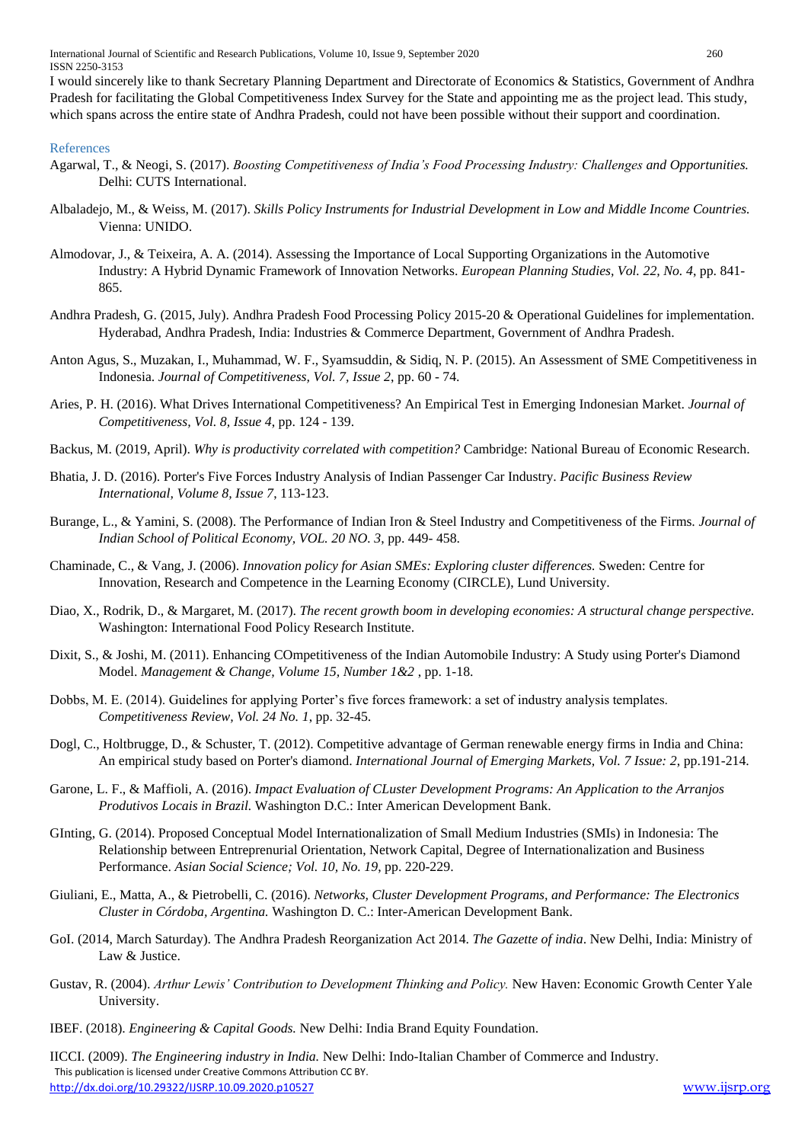International Journal of Scientific and Research Publications, Volume 10, Issue 9, September 2020 260 ISSN 2250-3153

I would sincerely like to thank Secretary Planning Department and Directorate of Economics & Statistics, Government of Andhra Pradesh for facilitating the Global Competitiveness Index Survey for the State and appointing me as the project lead. This study, which spans across the entire state of Andhra Pradesh, could not have been possible without their support and coordination.

#### References

- Agarwal, T., & Neogi, S. (2017). *Boosting Competitiveness of India's Food Processing Industry: Challenges and Opportunities.* Delhi: CUTS International.
- Albaladejo, M., & Weiss, M. (2017). *Skills Policy Instruments for Industrial Development in Low and Middle Income Countries.* Vienna: UNIDO.
- Almodovar, J., & Teixeira, A. A. (2014). Assessing the Importance of Local Supporting Organizations in the Automotive Industry: A Hybrid Dynamic Framework of Innovation Networks. *European Planning Studies, Vol. 22, No. 4*, pp. 841- 865.
- Andhra Pradesh, G. (2015, July). Andhra Pradesh Food Processing Policy 2015-20 & Operational Guidelines for implementation. Hyderabad, Andhra Pradesh, India: Industries & Commerce Department, Government of Andhra Pradesh.
- Anton Agus, S., Muzakan, I., Muhammad, W. F., Syamsuddin, & Sidiq, N. P. (2015). An Assessment of SME Competitiveness in Indonesia. *Journal of Competitiveness, Vol. 7, Issue 2*, pp. 60 - 74.
- Aries, P. H. (2016). What Drives International Competitiveness? An Empirical Test in Emerging Indonesian Market. *Journal of Competitiveness, Vol. 8, Issue 4*, pp. 124 - 139.
- Backus, M. (2019, April). *Why is productivity correlated with competition?* Cambridge: National Bureau of Economic Research.
- Bhatia, J. D. (2016). Porter's Five Forces Industry Analysis of Indian Passenger Car Industry. *Pacific Business Review International, Volume 8, Issue 7*, 113-123.
- Burange, L., & Yamini, S. (2008). The Performance of Indian Iron & Steel Industry and Competitiveness of the Firms. *Journal of Indian School of Political Economy, VOL. 20 NO. 3*, pp. 449- 458.
- Chaminade, C., & Vang, J. (2006). *Innovation policy for Asian SMEs: Exploring cluster differences.* Sweden: Centre for Innovation, Research and Competence in the Learning Economy (CIRCLE), Lund University.
- Diao, X., Rodrik, D., & Margaret, M. (2017). *The recent growth boom in developing economies: A structural change perspective.* Washington: International Food Policy Research Institute.
- Dixit, S., & Joshi, M. (2011). Enhancing COmpetitiveness of the Indian Automobile Industry: A Study using Porter's Diamond Model. *Management & Change, Volume 15, Number 1&2* , pp. 1-18.
- Dobbs, M. E. (2014). Guidelines for applying Porter's five forces framework: a set of industry analysis templates. *Competitiveness Review, Vol. 24 No. 1*, pp. 32-45.
- Dogl, C., Holtbrugge, D., & Schuster, T. (2012). Competitive advantage of German renewable energy firms in India and China: An empirical study based on Porter's diamond. *International Journal of Emerging Markets, Vol. 7 Issue: 2*, pp.191-214.
- Garone, L. F., & Maffioli, A. (2016). *Impact Evaluation of CLuster Development Programs: An Application to the Arranjos Produtivos Locais in Brazil.* Washington D.C.: Inter American Development Bank.
- GInting, G. (2014). Proposed Conceptual Model Internationalization of Small Medium Industries (SMIs) in Indonesia: The Relationship between Entreprenurial Orientation, Network Capital, Degree of Internationalization and Business Performance. *Asian Social Science; Vol. 10, No. 19*, pp. 220-229.
- Giuliani, E., Matta, A., & Pietrobelli, C. (2016). *Networks, Cluster Development Programs, and Performance: The Electronics Cluster in Córdoba, Argentina.* Washington D. C.: Inter-American Development Bank.
- GoI. (2014, March Saturday). The Andhra Pradesh Reorganization Act 2014. *The Gazette of india*. New Delhi, India: Ministry of Law & Justice.
- Gustav, R. (2004). *Arthur Lewis' Contribution to Development Thinking and Policy.* New Haven: Economic Growth Center Yale University.
- IBEF. (2018). *Engineering & Capital Goods.* New Delhi: India Brand Equity Foundation.

 This publication is licensed under Creative Commons Attribution CC BY. <http://dx.doi.org/10.29322/IJSRP.10.09.2020.p10527> [www.ijsrp.org](http://ijsrp.org/) IICCI. (2009). *The Engineering industry in India.* New Delhi: Indo-Italian Chamber of Commerce and Industry.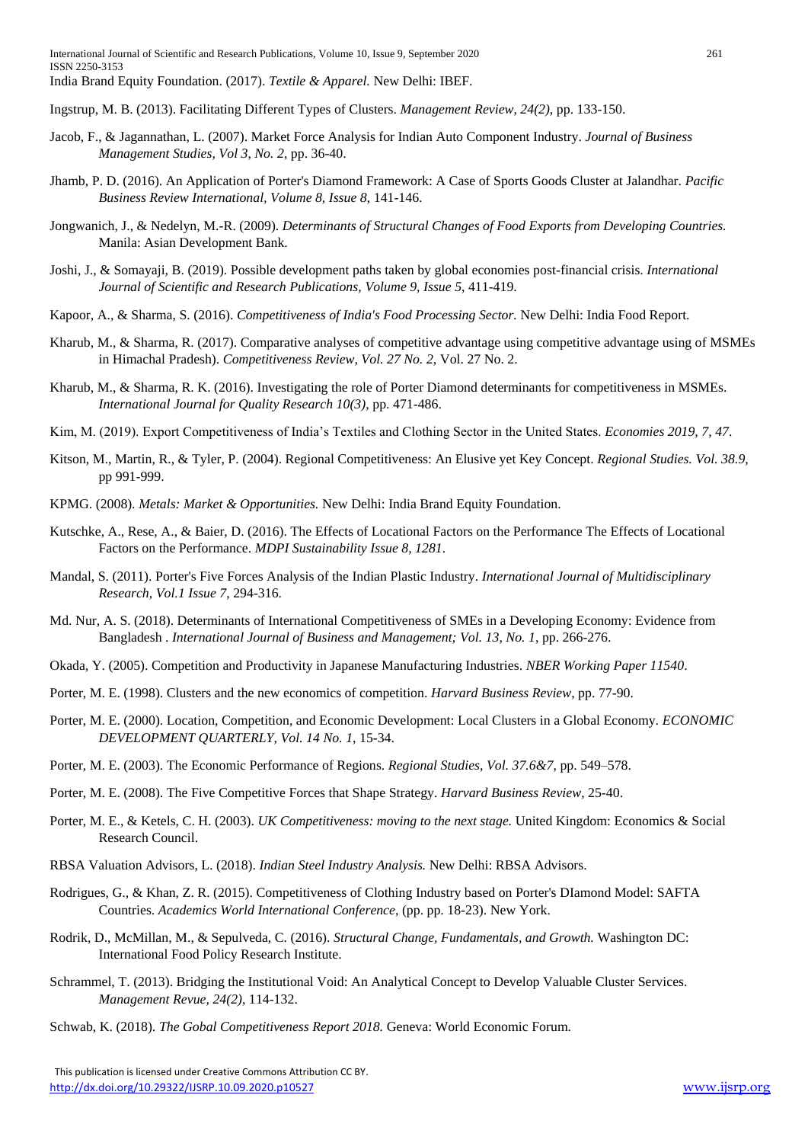Ingstrup, M. B. (2013). Facilitating Different Types of Clusters. *Management Review, 24(2)*, pp. 133-150.

- Jacob, F., & Jagannathan, L. (2007). Market Force Analysis for Indian Auto Component Industry. *Journal of Business Management Studies, Vol 3, No. 2*, pp. 36-40.
- Jhamb, P. D. (2016). An Application of Porter's Diamond Framework: A Case of Sports Goods Cluster at Jalandhar. *Pacific Business Review International, Volume 8, Issue 8*, 141-146.
- Jongwanich, J., & Nedelyn, M.-R. (2009). *Determinants of Structural Changes of Food Exports from Developing Countries.* Manila: Asian Development Bank.
- Joshi, J., & Somayaji, B. (2019). Possible development paths taken by global economies post-financial crisis. *International Journal of Scientific and Research Publications, Volume 9, Issue 5*, 411-419.
- Kapoor, A., & Sharma, S. (2016). *Competitiveness of India's Food Processing Sector.* New Delhi: India Food Report.
- Kharub, M., & Sharma, R. (2017). Comparative analyses of competitive advantage using competitive advantage using of MSMEs in Himachal Pradesh). *Competitiveness Review, Vol. 27 No. 2*, Vol. 27 No. 2.
- Kharub, M., & Sharma, R. K. (2016). Investigating the role of Porter Diamond determinants for competitiveness in MSMEs. *International Journal for Quality Research 10(3)*, pp. 471-486.
- Kim, M. (2019). Export Competitiveness of India's Textiles and Clothing Sector in the United States. *Economies 2019, 7, 47*.
- Kitson, M., Martin, R., & Tyler, P. (2004). Regional Competitiveness: An Elusive yet Key Concept. *Regional Studies. Vol. 38.9*, pp 991-999.
- KPMG. (2008). *Metals: Market & Opportunities.* New Delhi: India Brand Equity Foundation.
- Kutschke, A., Rese, A., & Baier, D. (2016). The Effects of Locational Factors on the Performance The Effects of Locational Factors on the Performance. *MDPI Sustainability Issue 8, 1281*.
- Mandal, S. (2011). Porter's Five Forces Analysis of the Indian Plastic Industry. *International Journal of Multidisciplinary Research, Vol.1 Issue 7*, 294-316.
- Md. Nur, A. S. (2018). Determinants of International Competitiveness of SMEs in a Developing Economy: Evidence from Bangladesh . *International Journal of Business and Management; Vol. 13, No. 1*, pp. 266-276.
- Okada, Y. (2005). Competition and Productivity in Japanese Manufacturing Industries. *NBER Working Paper 11540*.
- Porter, M. E. (1998). Clusters and the new economics of competition. *Harvard Business Review*, pp. 77-90.
- Porter, M. E. (2000). Location, Competition, and Economic Development: Local Clusters in a Global Economy. *ECONOMIC DEVELOPMENT QUARTERLY, Vol. 14 No. 1*, 15-34.
- Porter, M. E. (2003). The Economic Performance of Regions. *Regional Studies, Vol. 37.6&7*, pp. 549–578.
- Porter, M. E. (2008). The Five Competitive Forces that Shape Strategy. *Harvard Business Review*, 25-40.
- Porter, M. E., & Ketels, C. H. (2003). *UK Competitiveness: moving to the next stage.* United Kingdom: Economics & Social Research Council.
- RBSA Valuation Advisors, L. (2018). *Indian Steel Industry Analysis.* New Delhi: RBSA Advisors.
- Rodrigues, G., & Khan, Z. R. (2015). Competitiveness of Clothing Industry based on Porter's DIamond Model: SAFTA Countries. *Academics World International Conference*, (pp. pp. 18-23). New York.
- Rodrik, D., McMillan, M., & Sepulveda, C. (2016). *Structural Change, Fundamentals, and Growth.* Washington DC: International Food Policy Research Institute.
- Schrammel, T. (2013). Bridging the Institutional Void: An Analytical Concept to Develop Valuable Cluster Services. *Management Revue, 24(2)*, 114-132.
- Schwab, K. (2018). *The Gobal Competitiveness Report 2018.* Geneva: World Economic Forum.

This publication is licensed under Creative Commons Attribution CC BY. <http://dx.doi.org/10.29322/IJSRP.10.09.2020.p10527> [www.ijsrp.org](http://ijsrp.org/)